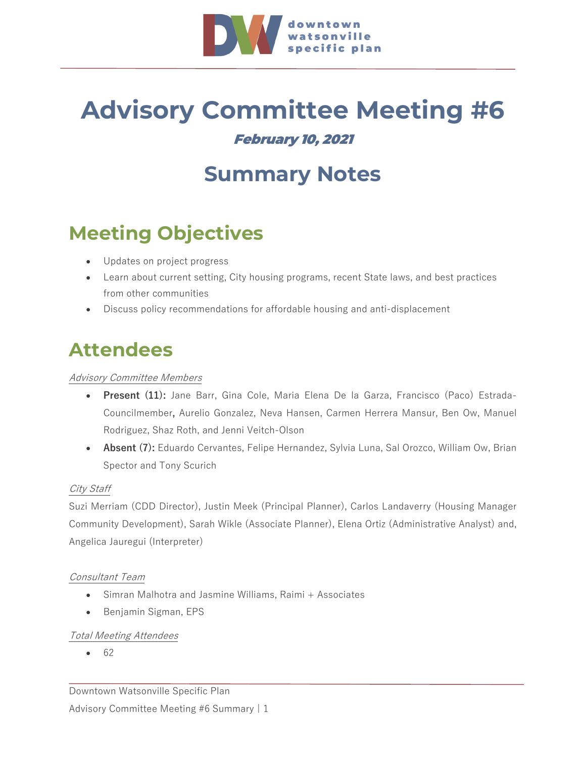

## **Advisory Committee Meeting #6** February 10, 2021

# **Summary Notes**

## **Meeting Objectives**

- Updates on project progress
- Learn about current setting, City housing programs, recent State laws, and best practices from other communities
- Discuss policy recommendations for affordable housing and anti-displacement

## **Attendees**

### Advisory Committee Members

- **Present (11):** Jane Barr, Gina Cole, Maria Elena De la Garza, Francisco (Paco) Estrada-Councilmember**,** Aurelio Gonzalez, Neva Hansen, Carmen Herrera Mansur, Ben Ow, Manuel Rodriguez, Shaz Roth, and Jenni Veitch-Olson
- **Absent (7):** Eduardo Cervantes, Felipe Hernandez, Sylvia Luna, Sal Orozco, William Ow, Brian Spector and Tony Scurich

#### City Staff

Suzi Merriam (CDD Director), Justin Meek (Principal Planner), Carlos Landaverry (Housing Manager Community Development), Sarah Wikle (Associate Planner), Elena Ortiz (Administrative Analyst) and, Angelica Jauregui (Interpreter)

#### Consultant Team

- Simran Malhotra and Jasmine Williams, Raimi + Associates
- Benjamin Sigman, EPS

#### Total Meeting Attendees

• 62

Downtown Watsonville Specific Plan

Advisory Committee Meeting #6 Summary | 1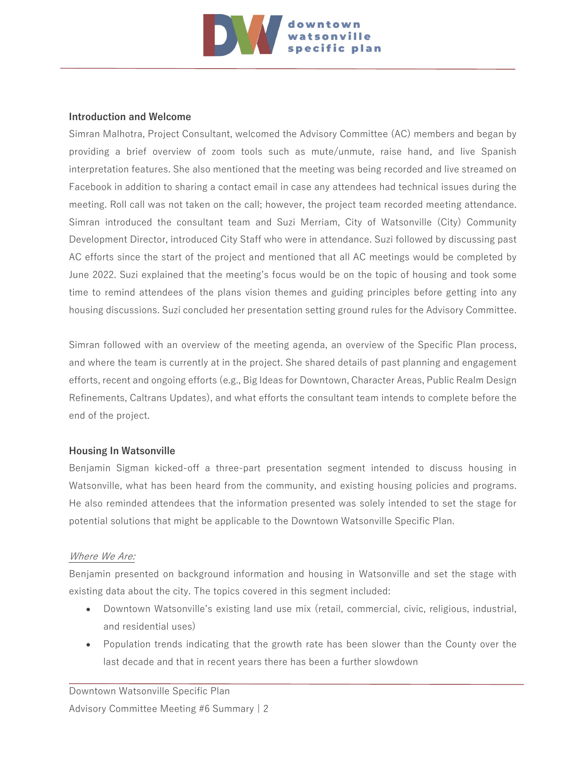

#### **Introduction and Welcome**

Simran Malhotra, Project Consultant, welcomed the Advisory Committee (AC) members and began by providing a brief overview of zoom tools such as mute/unmute, raise hand, and live Spanish interpretation features. She also mentioned that the meeting was being recorded and live streamed on Facebook in addition to sharing a contact email in case any attendees had technical issues during the meeting. Roll call was not taken on the call; however, the project team recorded meeting attendance. Simran introduced the consultant team and Suzi Merriam, City of Watsonville (City) Community Development Director, introduced City Staff who were in attendance. Suzi followed by discussing past AC efforts since the start of the project and mentioned that all AC meetings would be completed by June 2022. Suzi explained that the meeting's focus would be on the topic of housing and took some time to remind attendees of the plans vision themes and guiding principles before getting into any housing discussions. Suzi concluded her presentation setting ground rules for the Advisory Committee.

Simran followed with an overview of the meeting agenda, an overview of the Specific Plan process, and where the team is currently at in the project. She shared details of past planning and engagement efforts, recent and ongoing efforts (e.g., Big Ideas for Downtown, Character Areas, Public Realm Design Refinements, Caltrans Updates), and what efforts the consultant team intends to complete before the end of the project.

#### **Housing In Watsonville**

Benjamin Sigman kicked-off a three-part presentation segment intended to discuss housing in Watsonville, what has been heard from the community, and existing housing policies and programs. He also reminded attendees that the information presented was solely intended to set the stage for potential solutions that might be applicable to the Downtown Watsonville Specific Plan.

#### Where We Are:

Benjamin presented on background information and housing in Watsonville and set the stage with existing data about the city. The topics covered in this segment included:

- Downtown Watsonville's existing land use mix (retail, commercial, civic, religious, industrial, and residential uses)
- Population trends indicating that the growth rate has been slower than the County over the last decade and that in recent years there has been a further slowdown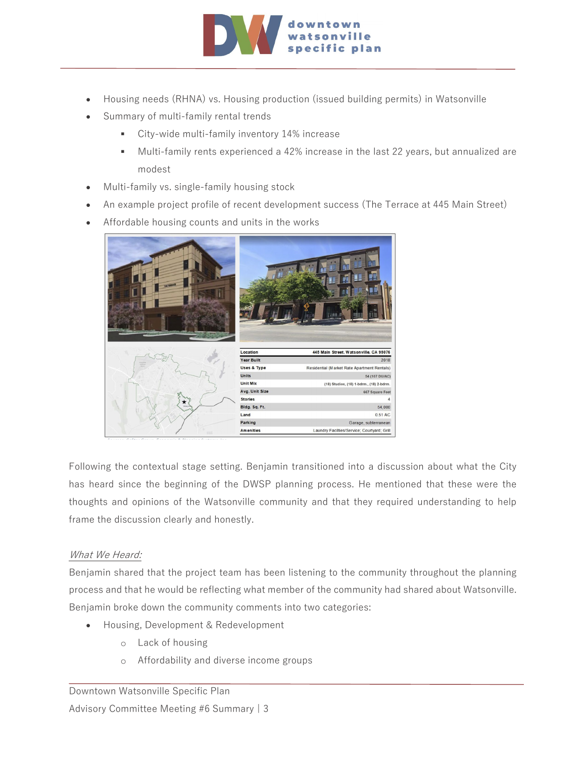

- Housing needs (RHNA) vs. Housing production (issued building permits) in Watsonville
- Summary of multi-family rental trends
	- City-wide multi-family inventory 14% increase
	- Multi-family rents experienced a 42% increase in the last 22 years, but annualized are modest
- Multi-family vs. single-family housing stock
- An example project profile of recent development success (The Terrace at 445 Main Street)
- Affordable housing counts and units in the works



Following the contextual stage setting. Benjamin transitioned into a discussion about what the City has heard since the beginning of the DWSP planning process. He mentioned that these were the thoughts and opinions of the Watsonville community and that they required understanding to help frame the discussion clearly and honestly.

#### What We Heard:

Benjamin shared that the project team has been listening to the community throughout the planning process and that he would be reflecting what member of the community had shared about Watsonville. Benjamin broke down the community comments into two categories:

- Housing, Development & Redevelopment
	- o Lack of housing
	- o Affordability and diverse income groups

#### Downtown Watsonville Specific Plan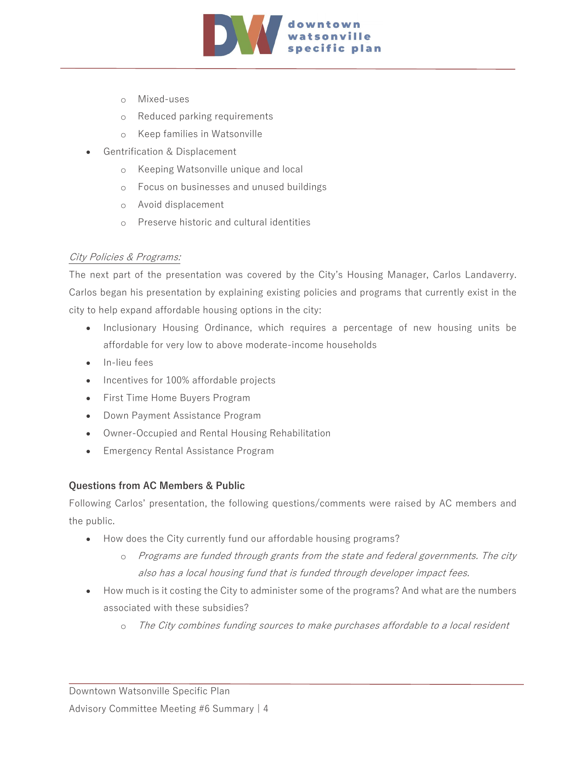

- o Mixed-uses
- o Reduced parking requirements
- o Keep families in Watsonville
- Gentrification & Displacement
	- o Keeping Watsonville unique and local
	- o Focus on businesses and unused buildings
	- o Avoid displacement
	- o Preserve historic and cultural identities

### City Policies & Programs:

The next part of the presentation was covered by the City's Housing Manager, Carlos Landaverry. Carlos began his presentation by explaining existing policies and programs that currently exist in the city to help expand affordable housing options in the city:

- Inclusionary Housing Ordinance, which requires a percentage of new housing units be affordable for very low to above moderate-income households
- In-lieu fees
- Incentives for 100% affordable projects
- First Time Home Buyers Program
- Down Payment Assistance Program
- Owner-Occupied and Rental Housing Rehabilitation
- Emergency Rental Assistance Program

#### **Questions from AC Members & Public**

Following Carlos' presentation, the following questions/comments were raised by AC members and the public.

- How does the City currently fund our affordable housing programs?
	- o Programs are funded through grants from the state and federal governments. The city also has a local housing fund that is funded through developer impact fees.
- How much is it costing the City to administer some of the programs? And what are the numbers associated with these subsidies?
	- o The City combines funding sources to make purchases affordable to a local resident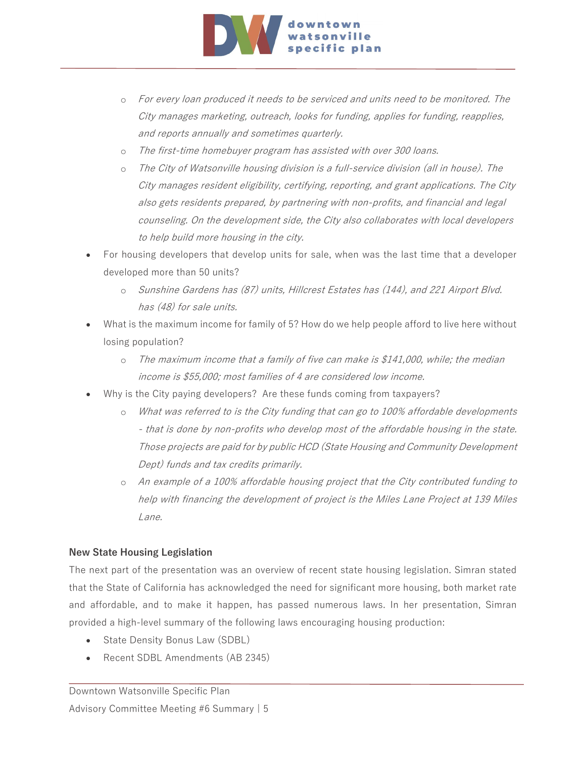

- o For every loan produced it needs to be serviced and units need to be monitored. The City manages marketing, outreach, looks for funding, applies for funding, reapplies, and reports annually and sometimes quarterly.
- o The first-time homebuyer program has assisted with over 300 loans.
- o The City of Watsonville housing division is a full-service division (all in house). The City manages resident eligibility, certifying, reporting, and grant applications. The City also gets residents prepared, by partnering with non-profits, and financial and legal counseling. On the development side, the City also collaborates with local developers to help build more housing in the city.
- For housing developers that develop units for sale, when was the last time that a developer developed more than 50 units?
	- o Sunshine Gardens has (87) units, Hillcrest Estates has (144), and 221 Airport Blvd. has (48) for sale units.
- What is the maximum income for family of 5? How do we help people afford to live here without losing population?
	- o The maximum income that a family of five can make is \$141,000, while; the median income is \$55,000; most families of 4 are considered low income.
- Why is the City paying developers? Are these funds coming from taxpayers?
	- o What was referred to is the City funding that can go to 100% affordable developments - that is done by non-profits who develop most of the affordable housing in the state. Those projects are paid for by public HCD (State Housing and Community Development Dept) funds and tax credits primarily.
	- o An example of a 100% affordable housing project that the City contributed funding to help with financing the development of project is the Miles Lane Project at 139 Miles Lane.

## **New State Housing Legislation**

The next part of the presentation was an overview of recent state housing legislation. Simran stated that the State of California has acknowledged the need for significant more housing, both market rate and affordable, and to make it happen, has passed numerous laws. In her presentation, Simran provided a high-level summary of the following laws encouraging housing production:

- State Density Bonus Law (SDBL)
- Recent SDBL Amendments (AB 2345)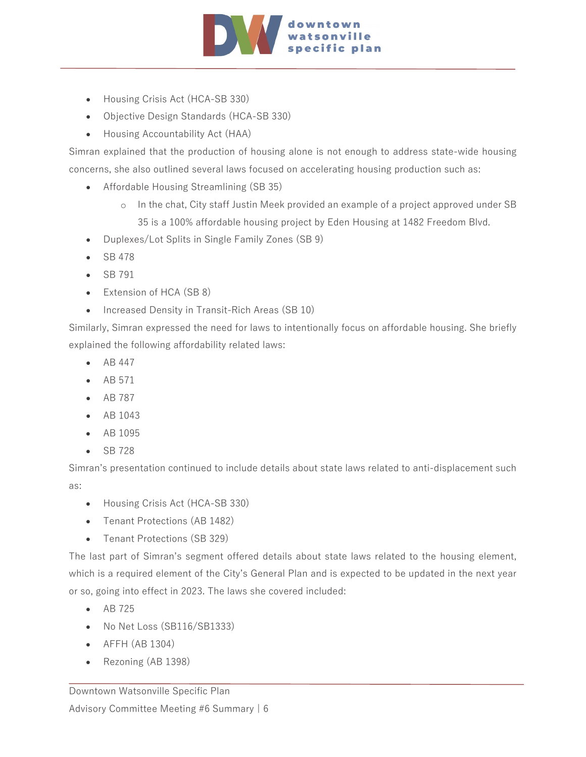

- Housing Crisis Act (HCA-SB 330)
- Objective Design Standards (HCA-SB 330)
- Housing Accountability Act (HAA)

Simran explained that the production of housing alone is not enough to address state-wide housing concerns, she also outlined several laws focused on accelerating housing production such as:

- Affordable Housing Streamlining (SB 35)
	- o In the chat, City staff Justin Meek provided an example of a project approved under SB 35 is a 100% affordable housing project by Eden Housing at 1482 Freedom Blvd.
- Duplexes/Lot Splits in Single Family Zones (SB 9)
- SB 478
- SB 791
- Extension of HCA (SB 8)
- Increased Density in Transit-Rich Areas (SB 10)

Similarly, Simran expressed the need for laws to intentionally focus on affordable housing. She briefly explained the following affordability related laws:

- AB 447
- AB 571
- AB 787
- AB 1043
- AB 1095
- SB 728

Simran's presentation continued to include details about state laws related to anti-displacement such as:

- Housing Crisis Act (HCA-SB 330)
- Tenant Protections (AB 1482)
- Tenant Protections (SB 329)

The last part of Simran's segment offered details about state laws related to the housing element, which is a required element of the City's General Plan and is expected to be updated in the next year or so, going into effect in 2023. The laws she covered included:

- AB 725
- No Net Loss (SB116/SB1333)
- AFFH (AB 1304)
- Rezoning (AB 1398)

#### Downtown Watsonville Specific Plan

Advisory Committee Meeting #6 Summary | 6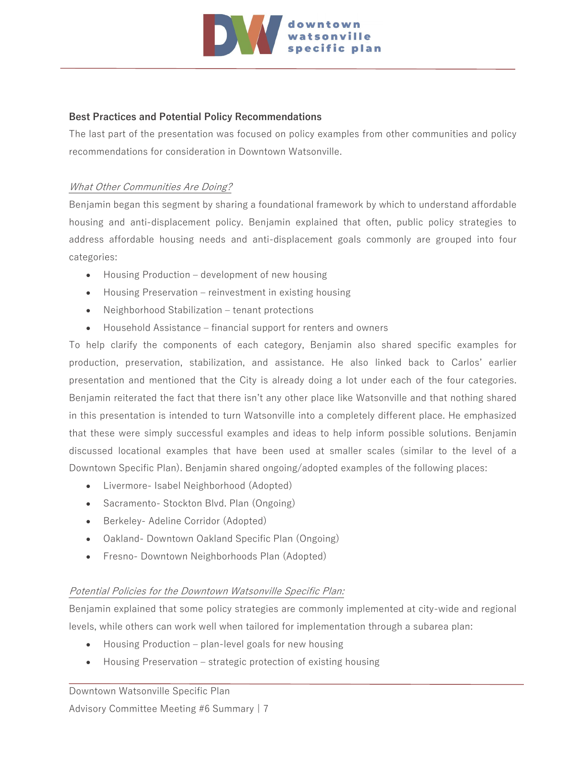

#### **Best Practices and Potential Policy Recommendations**

The last part of the presentation was focused on policy examples from other communities and policy recommendations for consideration in Downtown Watsonville.

#### What Other Communities Are Doing?

Benjamin began this segment by sharing a foundational framework by which to understand affordable housing and anti-displacement policy. Benjamin explained that often, public policy strategies to address affordable housing needs and anti-displacement goals commonly are grouped into four categories:

- Housing Production development of new housing
- Housing Preservation reinvestment in existing housing
- Neighborhood Stabilization tenant protections
- Household Assistance financial support for renters and owners

To help clarify the components of each category, Benjamin also shared specific examples for production, preservation, stabilization, and assistance. He also linked back to Carlos' earlier presentation and mentioned that the City is already doing a lot under each of the four categories. Benjamin reiterated the fact that there isn't any other place like Watsonville and that nothing shared in this presentation is intended to turn Watsonville into a completely different place. He emphasized that these were simply successful examples and ideas to help inform possible solutions. Benjamin discussed locational examples that have been used at smaller scales (similar to the level of a Downtown Specific Plan). Benjamin shared ongoing/adopted examples of the following places:

- Livermore- Isabel Neighborhood (Adopted)
- Sacramento- Stockton Blvd. Plan (Ongoing)
- Berkeley- Adeline Corridor (Adopted)
- Oakland- Downtown Oakland Specific Plan (Ongoing)
- Fresno- Downtown Neighborhoods Plan (Adopted)

#### Potential Policies for the Downtown Watsonville Specific Plan:

Benjamin explained that some policy strategies are commonly implemented at city-wide and regional levels, while others can work well when tailored for implementation through a subarea plan:

- Housing Production plan-level goals for new housing
- Housing Preservation strategic protection of existing housing

#### Downtown Watsonville Specific Plan

Advisory Committee Meeting #6 Summary | 7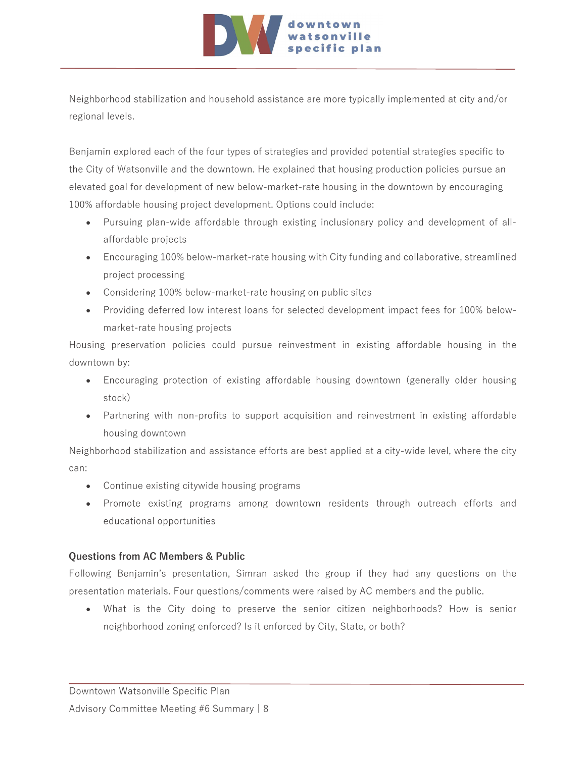

Neighborhood stabilization and household assistance are more typically implemented at city and/or regional levels.

Benjamin explored each of the four types of strategies and provided potential strategies specific to the City of Watsonville and the downtown. He explained that housing production policies pursue an elevated goal for development of new below-market-rate housing in the downtown by encouraging 100% affordable housing project development. Options could include:

- Pursuing plan-wide affordable through existing inclusionary policy and development of allaffordable projects
- Encouraging 100% below-market-rate housing with City funding and collaborative, streamlined project processing
- Considering 100% below-market-rate housing on public sites
- Providing deferred low interest loans for selected development impact fees for 100% belowmarket-rate housing projects

Housing preservation policies could pursue reinvestment in existing affordable housing in the downtown by:

- Encouraging protection of existing affordable housing downtown (generally older housing stock)
- Partnering with non-profits to support acquisition and reinvestment in existing affordable housing downtown

Neighborhood stabilization and assistance efforts are best applied at a city-wide level, where the city can:

- Continue existing citywide housing programs
- Promote existing programs among downtown residents through outreach efforts and educational opportunities

## **Questions from AC Members & Public**

Following Benjamin's presentation, Simran asked the group if they had any questions on the presentation materials. Four questions/comments were raised by AC members and the public.

• What is the City doing to preserve the senior citizen neighborhoods? How is senior neighborhood zoning enforced? Is it enforced by City, State, or both?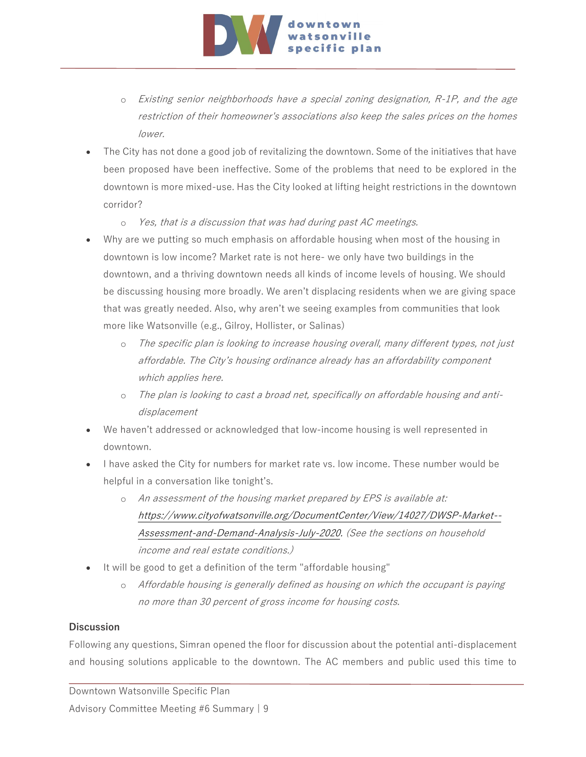

- o Existing senior neighborhoods have a special zoning designation, R-1P, and the age restriction of their homeowner's associations also keep the sales prices on the homes lower.
- The City has not done a good job of revitalizing the downtown. Some of the initiatives that have been proposed have been ineffective. Some of the problems that need to be explored in the downtown is more mixed-use. Has the City looked at lifting height restrictions in the downtown corridor?
	- o Yes, that is a discussion that was had during past AC meetings.
- Why are we putting so much emphasis on affordable housing when most of the housing in downtown is low income? Market rate is not here- we only have two buildings in the downtown, and a thriving downtown needs all kinds of income levels of housing. We should be discussing housing more broadly. We aren't displacing residents when we are giving space that was greatly needed. Also, why aren't we seeing examples from communities that look more like Watsonville (e.g., Gilroy, Hollister, or Salinas)
	- o The specific plan is looking to increase housing overall, many different types, not just affordable. The City's housing ordinance already has an affordability component which applies here.
	- o The plan is looking to cast a broad net, specifically on affordable housing and antidisplacement
- We haven't addressed or acknowledged that low-income housing is well represented in downtown.
- I have asked the City for numbers for market rate vs. low income. These number would be helpful in a conversation like tonight's.
	- o An assessment of the housing market prepared by EPS is available at: [https://www.cityofwatsonville.org/DocumentCenter/View/14027/DWSP-Market--](https://www.cityofwatsonville.org/DocumentCenter/View/14027/DWSP-Market--Assessment-and-Demand-Analysis-July-2020) [Assessment-and-Demand-Analysis-July-2020.](https://www.cityofwatsonville.org/DocumentCenter/View/14027/DWSP-Market--Assessment-and-Demand-Analysis-July-2020) (See the sections on household income and real estate conditions.)
- It will be good to get a definition of the term "affordable housing"
	- o Affordable housing is generally defined as housing on which the occupant is paying no more than 30 percent of gross income for housing costs.

#### **Discussion**

Following any questions, Simran opened the floor for discussion about the potential anti-displacement and housing solutions applicable to the downtown. The AC members and public used this time to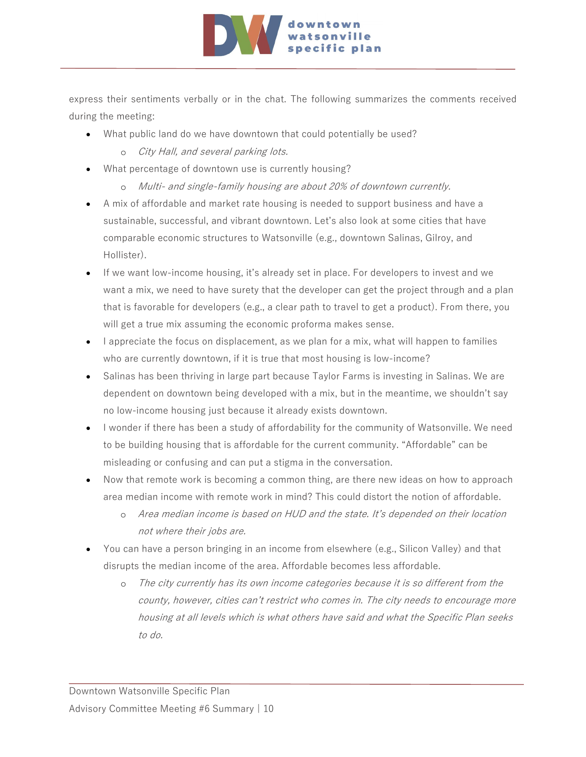

express their sentiments verbally or in the chat. The following summarizes the comments received during the meeting:

- What public land do we have downtown that could potentially be used?
	- o City Hall, and several parking lots.
- What percentage of downtown use is currently housing?
	- o Multi- and single-family housing are about 20% of downtown currently.
- A mix of affordable and market rate housing is needed to support business and have a sustainable, successful, and vibrant downtown. Let's also look at some cities that have comparable economic structures to Watsonville (e.g., downtown Salinas, Gilroy, and Hollister).
- If we want low-income housing, it's already set in place. For developers to invest and we want a mix, we need to have surety that the developer can get the project through and a plan that is favorable for developers (e.g., a clear path to travel to get a product). From there, you will get a true mix assuming the economic proforma makes sense.
- I appreciate the focus on displacement, as we plan for a mix, what will happen to families who are currently downtown, if it is true that most housing is low-income?
- Salinas has been thriving in large part because Taylor Farms is investing in Salinas. We are dependent on downtown being developed with a mix, but in the meantime, we shouldn't say no low-income housing just because it already exists downtown.
- I wonder if there has been a study of affordability for the community of Watsonville. We need to be building housing that is affordable for the current community. "Affordable" can be misleading or confusing and can put a stigma in the conversation.
- Now that remote work is becoming a common thing, are there new ideas on how to approach area median income with remote work in mind? This could distort the notion of affordable.
	- o Area median income is based on HUD and the state. It's depended on their location not where their jobs are.
- You can have a person bringing in an income from elsewhere (e.g., Silicon Valley) and that disrupts the median income of the area. Affordable becomes less affordable.
	- o The city currently has its own income categories because it is so different from the county, however, cities can't restrict who comes in. The city needs to encourage more housing at all levels which is what others have said and what the Specific Plan seeks to do.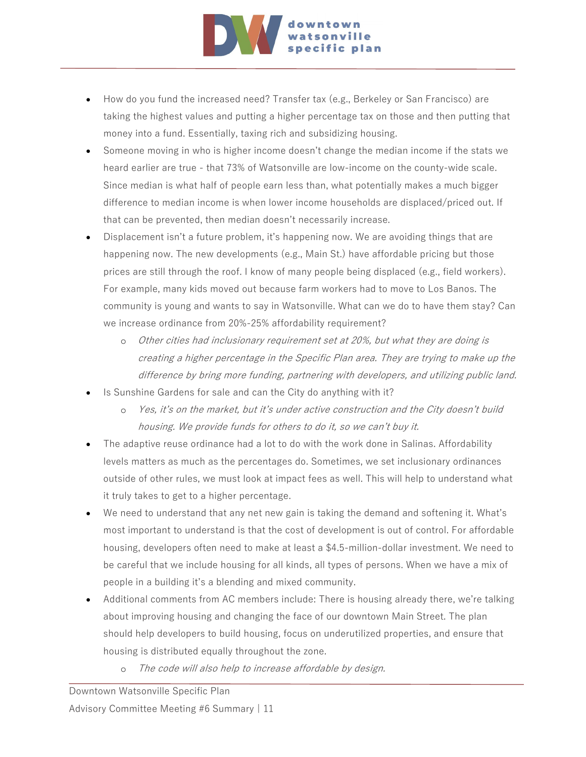

- How do you fund the increased need? Transfer tax (e.g., Berkeley or San Francisco) are taking the highest values and putting a higher percentage tax on those and then putting that money into a fund. Essentially, taxing rich and subsidizing housing.
- Someone moving in who is higher income doesn't change the median income if the stats we heard earlier are true - that 73% of Watsonville are low-income on the county-wide scale. Since median is what half of people earn less than, what potentially makes a much bigger difference to median income is when lower income households are displaced/priced out. If that can be prevented, then median doesn't necessarily increase.
- Displacement isn't a future problem, it's happening now. We are avoiding things that are happening now. The new developments (e.g., Main St.) have affordable pricing but those prices are still through the roof. I know of many people being displaced (e.g., field workers). For example, many kids moved out because farm workers had to move to Los Banos. The community is young and wants to say in Watsonville. What can we do to have them stay? Can we increase ordinance from 20%-25% affordability requirement?
	- o Other cities had inclusionary requirement set at 20%, but what they are doing is creating a higher percentage in the Specific Plan area. They are trying to make up the difference by bring more funding, partnering with developers, and utilizing public land.
- Is Sunshine Gardens for sale and can the City do anything with it?
	- o Yes, it's on the market, but it's under active construction and the City doesn't build housing. We provide funds for others to do it, so we can't buy it.
- The adaptive reuse ordinance had a lot to do with the work done in Salinas. Affordability levels matters as much as the percentages do. Sometimes, we set inclusionary ordinances outside of other rules, we must look at impact fees as well. This will help to understand what it truly takes to get to a higher percentage.
- We need to understand that any net new gain is taking the demand and softening it. What's most important to understand is that the cost of development is out of control. For affordable housing, developers often need to make at least a \$4.5-million-dollar investment. We need to be careful that we include housing for all kinds, all types of persons. When we have a mix of people in a building it's a blending and mixed community.
- Additional comments from AC members include: There is housing already there, we're talking about improving housing and changing the face of our downtown Main Street. The plan should help developers to build housing, focus on underutilized properties, and ensure that housing is distributed equally throughout the zone.
	- o The code will also help to increase affordable by design.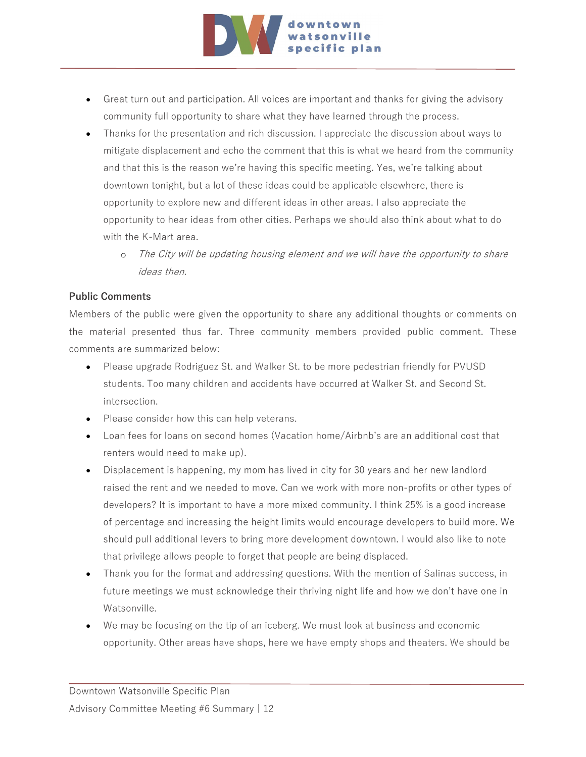

- Great turn out and participation. All voices are important and thanks for giving the advisory community full opportunity to share what they have learned through the process.
- Thanks for the presentation and rich discussion. I appreciate the discussion about ways to mitigate displacement and echo the comment that this is what we heard from the community and that this is the reason we're having this specific meeting. Yes, we're talking about downtown tonight, but a lot of these ideas could be applicable elsewhere, there is opportunity to explore new and different ideas in other areas. I also appreciate the opportunity to hear ideas from other cities. Perhaps we should also think about what to do with the K-Mart area.
	- The City will be updating housing element and we will have the opportunity to share ideas then.

#### **Public Comments**

Members of the public were given the opportunity to share any additional thoughts or comments on the material presented thus far. Three community members provided public comment. These comments are summarized below:

- Please upgrade Rodriguez St. and Walker St. to be more pedestrian friendly for PVUSD students. Too many children and accidents have occurred at Walker St. and Second St. intersection.
- Please consider how this can help veterans.
- Loan fees for loans on second homes (Vacation home/Airbnb's are an additional cost that renters would need to make up).
- Displacement is happening, my mom has lived in city for 30 years and her new landlord raised the rent and we needed to move. Can we work with more non-profits or other types of developers? It is important to have a more mixed community. I think 25% is a good increase of percentage and increasing the height limits would encourage developers to build more. We should pull additional levers to bring more development downtown. I would also like to note that privilege allows people to forget that people are being displaced.
- Thank you for the format and addressing questions. With the mention of Salinas success, in future meetings we must acknowledge their thriving night life and how we don't have one in Watsonville.
- We may be focusing on the tip of an iceberg. We must look at business and economic opportunity. Other areas have shops, here we have empty shops and theaters. We should be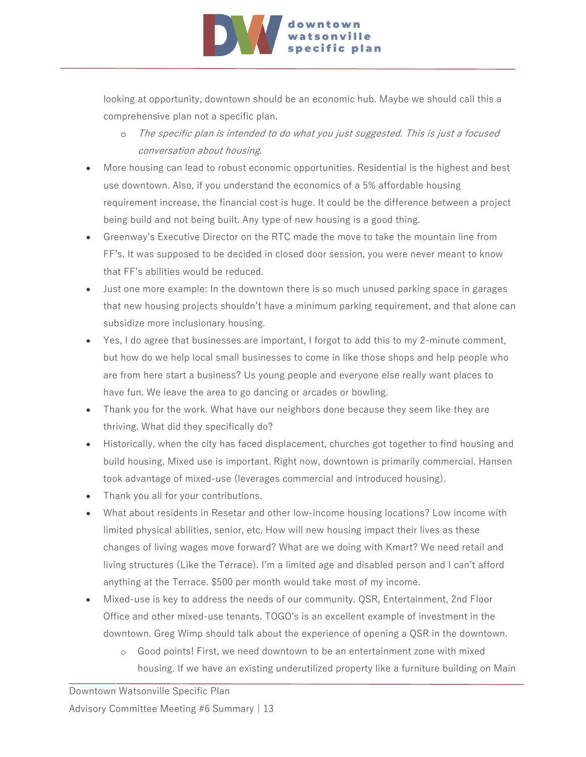

looking at opportunity, downtown should be an economic hub. Maybe we should call this a comprehensive plan not a specific plan.

- o The specific plan is intended to do what you just suggested. This is just a focused conversation about housing.
- More housing can lead to robust economic opportunities. Residential is the highest and best use downtown. Also, if you understand the economics of a 5% affordable housing requirement increase, the financial cost is huge. It could be the difference between a project being build and not being built. Any type of new housing is a good thing.
- Greenway's Executive Director on the RTC made the move to take the mountain line from FF's. It was supposed to be decided in closed door session, you were never meant to know that FF's abilities would be reduced.
- Just one more example: In the downtown there is so much unused parking space in garages that new housing projects shouldn't have a minimum parking requirement, and that alone can subsidize more inclusionary housing.
- Yes, I do agree that businesses are important, I forgot to add this to my 2-minute comment, but how do we help local small businesses to come in like those shops and help people who are from here start a business? Us young people and everyone else really want places to have fun. We leave the area to go dancing or arcades or bowling.
- Thank you for the work. What have our neighbors done because they seem like they are thriving. What did they specifically do?
- Historically, when the city has faced displacement, churches got together to find housing and build housing. Mixed use is important. Right now, downtown is primarily commercial. Hansen took advantage of mixed-use (leverages commercial and introduced housing).
- Thank you all for your contributions.
- What about residents in Resetar and other low-income housing locations? Low income with limited physical abilities, senior, etc. How will new housing impact their lives as these changes of living wages move forward? What are we doing with Kmart? We need retail and living structures (Like the Terrace). I'm a limited age and disabled person and I can't afford anything at the Terrace. \$500 per month would take most of my income.
- Mixed-use is key to address the needs of our community. QSR, Entertainment, 2nd Floor Office and other mixed-use tenants. TOGO's is an excellent example of investment in the downtown. Greg Wimp should talk about the experience of opening a QSR in the downtown.
	- o Good points! First, we need downtown to be an entertainment zone with mixed housing. If we have an existing underutilized property like a furniture building on Main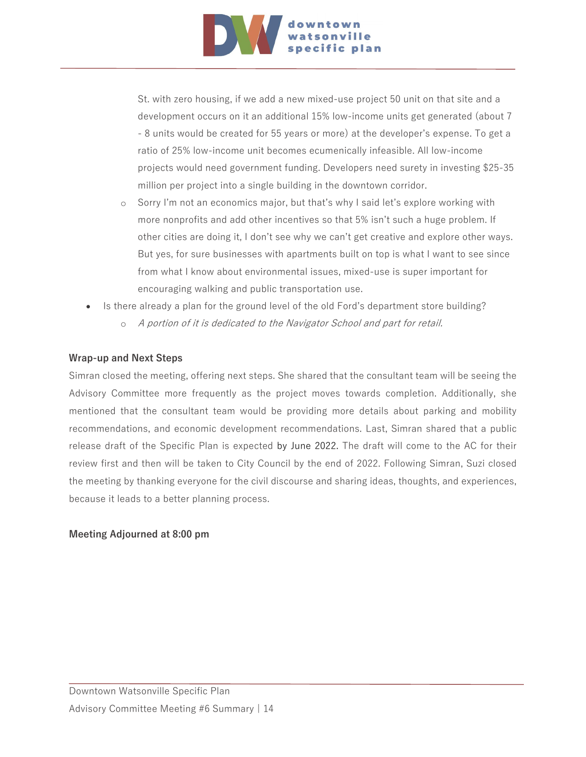

St. with zero housing, if we add a new mixed-use project 50 unit on that site and a development occurs on it an additional 15% low-income units get generated (about 7 - 8 units would be created for 55 years or more) at the developer's expense. To get a ratio of 25% low-income unit becomes ecumenically infeasible. All low-income projects would need government funding. Developers need surety in investing \$25-35 million per project into a single building in the downtown corridor.

- o Sorry I'm not an economics major, but that's why I said let's explore working with more nonprofits and add other incentives so that 5% isn't such a huge problem. If other cities are doing it, I don't see why we can't get creative and explore other ways. But yes, for sure businesses with apartments built on top is what I want to see since from what I know about environmental issues, mixed-use is super important for encouraging walking and public transportation use.
- Is there already a plan for the ground level of the old Ford's department store building?
	- o A portion of it is dedicated to the Navigator School and part for retail.

#### **Wrap-up and Next Steps**

Simran closed the meeting, offering next steps. She shared that the consultant team will be seeing the Advisory Committee more frequently as the project moves towards completion. Additionally, she mentioned that the consultant team would be providing more details about parking and mobility recommendations, and economic development recommendations. Last, Simran shared that a public release draft of the Specific Plan is expected by June 2022. The draft will come to the AC for their review first and then will be taken to City Council by the end of 2022. Following Simran, Suzi closed the meeting by thanking everyone for the civil discourse and sharing ideas, thoughts, and experiences, because it leads to a better planning process.

#### **Meeting Adjourned at 8:00 pm**